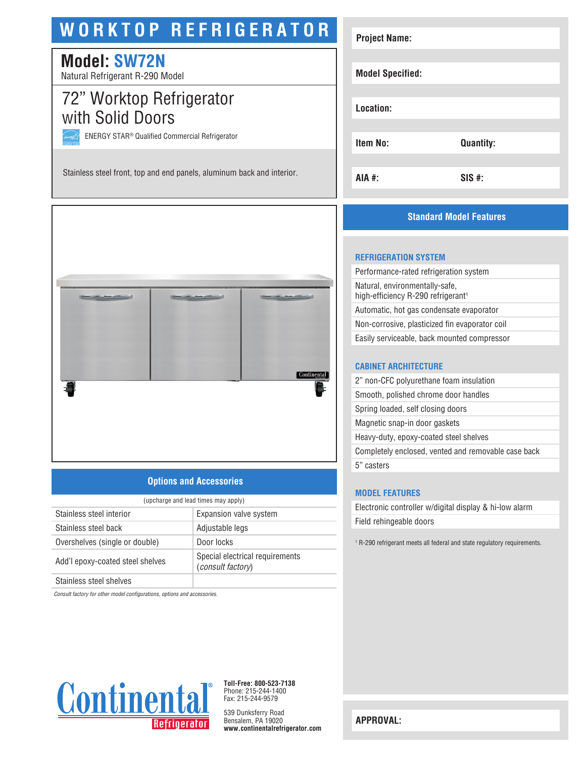# **WORKTOP REFRIGERATOR**

# **Model: SW72N**

Natural Refrigerant R-290 Model

# 72" Worktop Refrigerator with Solid Doors

ENERGY STAR® Qualified Commercial Refrigerator

Stainless steel front, top and end panels, aluminum back and interior.



## **Options and Accessories**

| (upcharge and lead times may apply) |                                                             |  |
|-------------------------------------|-------------------------------------------------------------|--|
| Stainless steel interior            | Expansion valve system                                      |  |
| Stainless steel back                | Adjustable legs                                             |  |
| Overshelves (single or double)      | Door locks                                                  |  |
| Add'l epoxy-coated steel shelves    | Special electrical requirements<br><i>(consult factory)</i> |  |
| Chaimlean sheal shahusa             |                                                             |  |

Stainless steel shelves

*Consult factory for other model configurations, options and accessories.*



**Toll-Free: 800-523-7138** Phone: 215-244-1400 Fax: 215-244-9579

539 Dunksferry Road Bensalem, PA 19020 **www.continentalrefrigerator.com** 

| <b>Project Name:</b>    |                  |
|-------------------------|------------------|
| <b>Model Specified:</b> |                  |
| Location:               |                  |
| <b>Item No:</b>         | <b>Quantity:</b> |
| AIA #:                  | $SIS$ #:         |

## **Standard Model Features**

#### **REFRIGERATION SYSTEM**

| Performance-rated refrigeration system                                           |
|----------------------------------------------------------------------------------|
| Natural, environmentally-safe,<br>high-efficiency R-290 refrigerant <sup>1</sup> |
| Automatic, hot gas condensate evaporator                                         |
| Non-corrosive, plasticized fin evaporator coil                                   |
| Easily serviceable, back mounted compressor                                      |
|                                                                                  |

#### **CABINET ARCHITECTURE**

| 2" non-CFC polyurethane foam insulation             |
|-----------------------------------------------------|
| Smooth, polished chrome door handles                |
| Spring loaded, self closing doors                   |
| Magnetic snap-in door gaskets                       |
| Heavy-duty, epoxy-coated steel shelves              |
| Completely enclosed, vented and removable case back |
| 5" casters                                          |
|                                                     |

#### **MODEL FEATURES**

Electronic controller w/digital display & hi-low alarm Field rehingeable doors

1 R-290 refrigerant meets all federal and state regulatory requirements.

**APPROVAL:**